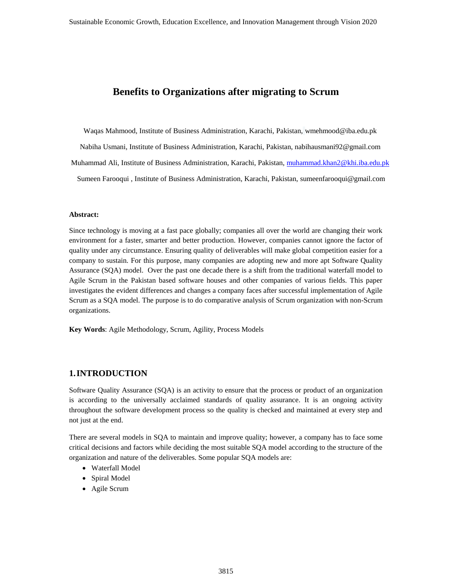# **Benefits to Organizations after migrating to Scrum**

Waqas Mahmood, Institute of Business Administration, Karachi, Pakistan, wmehmood@iba.edu.pk Nabiha Usmani, Institute of Business Administration, Karachi, Pakistan, nabihausmani92@gmail.com Muhammad Ali, Institute of Business Administration, Karachi, Pakistan, [muhammad.khan2@khi.iba.edu.pk](mailto:muhammad.khan2@khi.iba.edu.pk) Sumeen Farooqui , Institute of Business Administration, Karachi, Pakistan, sumeenfarooqui@gmail.com

#### **Abstract:**

Since technology is moving at a fast pace globally; companies all over the world are changing their work environment for a faster, smarter and better production. However, companies cannot ignore the factor of quality under any circumstance. Ensuring quality of deliverables will make global competition easier for a company to sustain. For this purpose, many companies are adopting new and more apt Software Quality Assurance (SQA) model. Over the past one decade there is a shift from the traditional waterfall model to Agile Scrum in the Pakistan based software houses and other companies of various fields. This paper investigates the evident differences and changes a company faces after successful implementation of Agile Scrum as a SQA model. The purpose is to do comparative analysis of Scrum organization with non-Scrum organizations.

**Key Words**: Agile Methodology, Scrum, Agility, Process Models

## **1.INTRODUCTION<sup>1</sup>**

Software Quality Assurance (SQA) is an activity to ensure that the process or product of an organization is according to the universally acclaimed standards of quality assurance. It is an ongoing activity throughout the software development process so the quality is checked and maintained at every step and not just at the end.

There are several models in SQA to maintain and improve quality; however, a company has to face some critical decisions and factors while deciding the most suitable SQA model according to the structure of the organization and nature of the deliverables. Some popular SQA models are:

- Waterfall Model
- Spiral Model
- Agile Scrum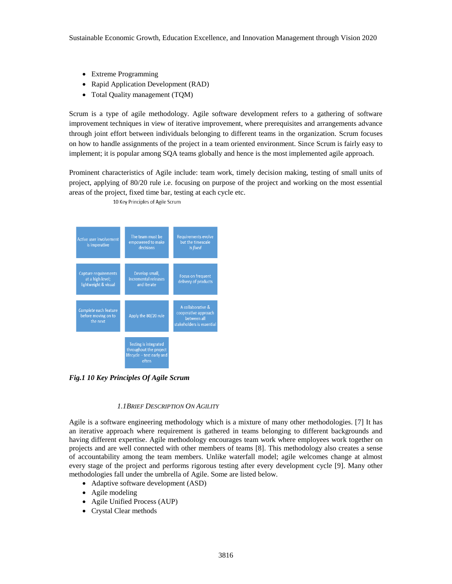- Extreme Programming
- Rapid Application Development (RAD)
- Total Quality management (TQM)

Scrum is a type of agile methodology. Agile software development refers to a gathering of software improvement techniques in view of iterative improvement, where prerequisites and arrangements advance through joint effort between individuals belonging to different teams in the organization. Scrum focuses on how to handle assignments of the project in a team oriented environment. Since Scrum is fairly easy to implement; it is popular among SQA teams globally and hence is the most implemented agile approach.

Prominent characteristics of Agile include: team work, timely decision making, testing of small units of project, applying of 80/20 rule i.e. focusing on purpose of the project and working on the most essential areas of the project, fixed time bar, testing at each cycle etc.

| Active user involvement<br>is imperative                         | The team must be<br>empowered to make<br>decisions                                     | <b>Requirements evolve</b><br>but the timescale<br>is fixed                           |
|------------------------------------------------------------------|----------------------------------------------------------------------------------------|---------------------------------------------------------------------------------------|
| Capture requirements<br>at a high level;<br>lightweight & visual | Develop small,<br>incremental releases<br>and iterate                                  | Focus on frequent<br>delivery of products                                             |
| Complete each feature<br>before moving on to<br>the next         | Apply the 80/20 rule                                                                   | A collaborative &<br>cooperative approach<br>between all<br>stakeholders is essential |
|                                                                  | Testing is integrated<br>throughout the project<br>lifecycle - test early and<br>often |                                                                                       |

10 Key Principles of Agile Scrum

*Fig.1 10 Key Principles Of Agile Scrum*

#### *1.1BRIEF DESCRIPTION ON AGILITY*

Agile is a software engineering methodology which is a mixture of many other methodologies. [7] It has an iterative approach where requirement is gathered in teams belonging to different backgrounds and having different expertise. Agile methodology encourages team work where employees work together on projects and are well connected with other members of teams [8]. This methodology also creates a sense of accountability among the team members. Unlike waterfall model; agile welcomes change at almost every stage of the project and performs rigorous testing after every development cycle [9]. Many other methodologies fall under the umbrella of Agile. Some are listed below.

- Adaptive software development (ASD)
- Agile modeling
- Agile Unified Process (AUP)
- Crystal Clear methods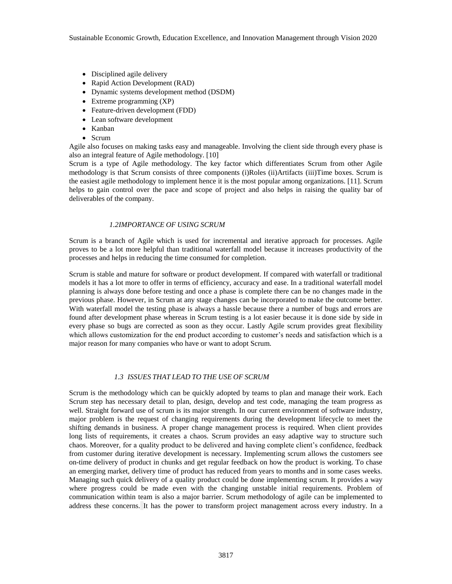- Disciplined agile delivery
- Rapid Action Development (RAD)
- Dynamic systems development method (DSDM)
- Extreme programming (XP)
- Feature-driven development (FDD)
- Lean software development
- Kanban
- Scrum

Agile also focuses on making tasks easy and manageable. Involving the client side through every phase is also an integral feature of Agile methodology. [10]

Scrum is a type of Agile methodology. The key factor which differentiates Scrum from other Agile methodology is that Scrum consists of three components (i)Roles (ii)Artifacts (iii)Time boxes. Scrum is the easiest agile methodology to implement hence it is the most popular among organizations. [11]. Scrum helps to gain control over the pace and scope of project and also helps in raising the quality bar of deliverables of the company.

## *1.2IMPORTANCE OF USING SCRUM*

Scrum is a branch of Agile which is used for incremental and iterative approach for processes. Agile proves to be a lot more helpful than traditional waterfall model because it increases productivity of the processes and helps in reducing the time consumed for completion.

Scrum is stable and mature for software or product development. If compared with waterfall or traditional models it has a lot more to offer in terms of efficiency, accuracy and ease. In a traditional waterfall model planning is always done before testing and once a phase is complete there can be no changes made in the previous phase. However, in Scrum at any stage changes can be incorporated to make the outcome better. With waterfall model the testing phase is always a hassle because there a number of bugs and errors are found after development phase whereas in Scrum testing is a lot easier because it is done side by side in every phase so bugs are corrected as soon as they occur. Lastly Agile scrum provides great flexibility which allows customization for the end product according to customer's needs and satisfaction which is a major reason for many companies who have or want to adopt Scrum.

## *1.3 ISSUES THAT LEAD TO THE USE OF SCRUM*

Scrum is the methodology which can be quickly adopted by teams to plan and manage their work. Each Scrum step has necessary detail to plan, design, develop and test code, managing the team progress as well. Straight forward use of scrum is its major strength. In our current environment of software industry, major problem is the request of changing requirements during the development lifecycle to meet the shifting demands in business. A proper change management process is required. When client provides long lists of requirements, it creates a chaos. Scrum provides an easy adaptive way to structure such chaos. Moreover, for a quality product to be delivered and having complete client's confidence, feedback from customer during iterative development is necessary. Implementing scrum allows the customers see on-time delivery of product in chunks and get regular feedback on how the product is working. To chase an emerging market, delivery time of product has reduced from years to months and in some cases weeks. Managing such quick delivery of a quality product could be done implementing scrum. It provides a way where progress could be made even with the changing unstable initial requirements. Problem of communication within team is also a major barrier. Scrum methodology of agile can be implemented to address these concerns. It has the power to transform project management across every industry. In a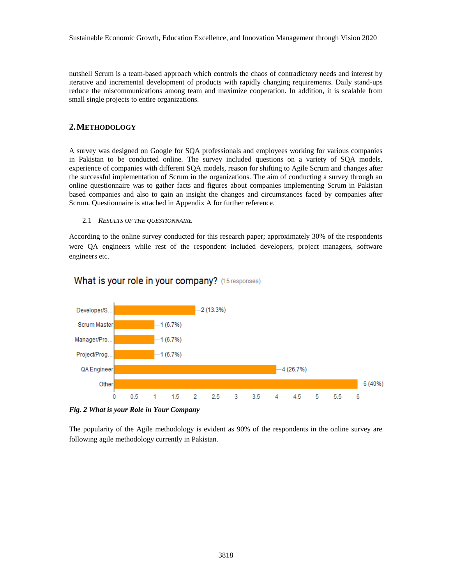nutshell Scrum is a team-based approach which controls the chaos of contradictory needs and interest by iterative and incremental development of products with rapidly changing requirements. Daily stand-ups reduce the miscommunications among team and maximize cooperation. In addition, it is scalable from small single projects to entire organizations.

## **2.METHODOLOGY**

A survey was designed on Google for SQA professionals and employees working for various companies in Pakistan to be conducted online. The survey included questions on a variety of SQA models, experience of companies with different SQA models, reason for shifting to Agile Scrum and changes after the successful implementation of Scrum in the organizations. The aim of conducting a survey through an online questionnaire was to gather facts and figures about companies implementing Scrum in Pakistan based companies and also to gain an insight the changes and circumstances faced by companies after Scrum. Questionnaire is attached in Appendix A for further reference.

#### 2.1 *RESULTS OF THE QUESTIONNAIRE*

According to the online survey conducted for this research paper; approximately 30% of the respondents were QA engineers while rest of the respondent included developers, project managers, software engineers etc.



## What is your role in your company? (15 responses)

*Fig. 2 What is your Role in Your Company*

The popularity of the Agile methodology is evident as 90% of the respondents in the online survey are following agile methodology currently in Pakistan.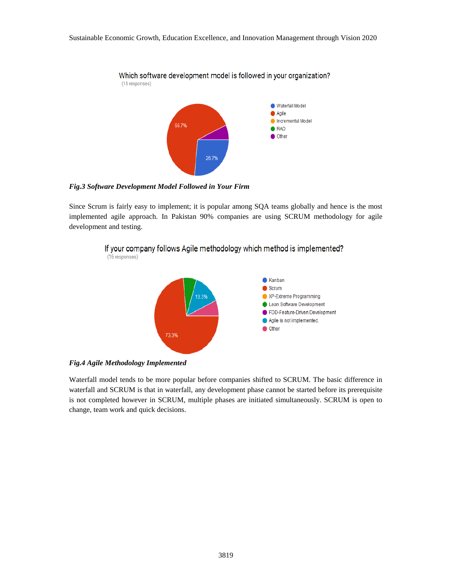

*Fig.3 Software Development Model Followed in Your Firm*

Since Scrum is fairly easy to implement; it is popular among SQA teams globally and hence is the most implemented agile approach. In Pakistan 90% companies are using SCRUM methodology for agile development and testing.

#### If your company follows Agile methodology which method is implemented? (15 responses)



*Fig.4 Agile Methodology Implemented*

Waterfall model tends to be more popular before companies shifted to SCRUM. The basic difference in waterfall and SCRUM is that in waterfall, any development phase cannot be started before its prerequisite is not completed however in SCRUM, multiple phases are initiated simultaneously. SCRUM is open to change, team work and quick decisions.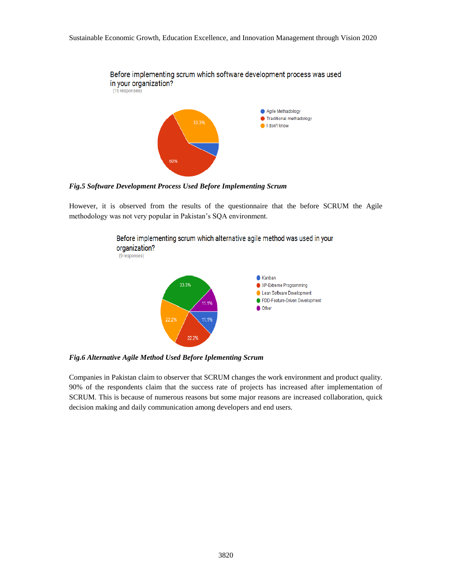

*Fig.5 Software Development Process Used Before Implementing Scrum*

However, it is observed from the results of the questionnaire that the before SCRUM the Agile methodology was not very popular in Pakistan's SQA environment.



*Fig.6 Alternative Agile Method Used Before Iplementing Scrum*

Companies in Pakistan claim to observer that SCRUM changes the work environment and product quality. 90% of the respondents claim that the success rate of projects has increased after implementation of SCRUM. This is because of numerous reasons but some major reasons are increased collaboration, quick decision making and daily communication among developers and end users.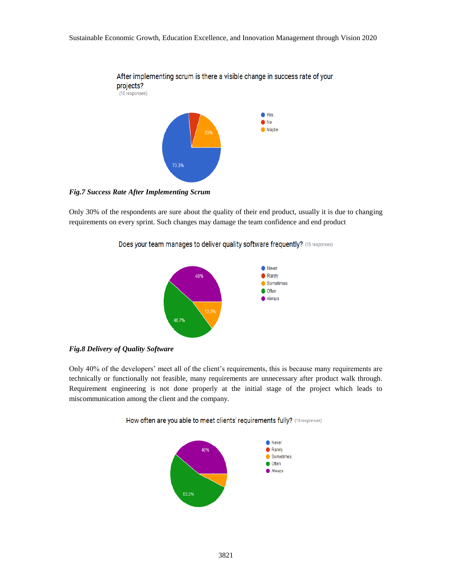

*Fig.7 Success Rate After Implementing Scrum*

Only 30% of the respondents are sure about the quality of their end product, usually it is due to changing requirements on every sprint. Such changes may damage the team confidence and end product

## Does your team manages to deliver quality software frequently? (15 responses)



*Fig.8 Delivery of Quality Software*

Only 40% of the developers' meet all of the client's requirements, this is because many requirements are technically or functionally not feasible, many requirements are unnecessary after product walk through. Requirement engineering is not done properly at the initial stage of the project which leads to miscommunication among the client and the company.

How often are you able to meet clients' requirements fully? (15 responses)

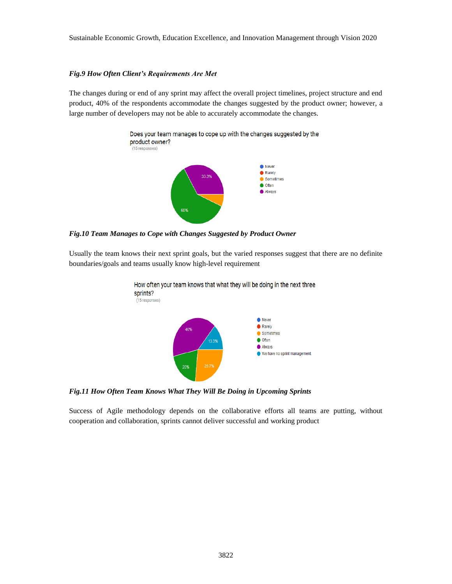Sustainable Economic Growth, Education Excellence, and Innovation Management through Vision 2020

#### *Fig.9 How Often Client's Requirements Are Met*

The changes during or end of any sprint may affect the overall project timelines, project structure and end product, 40% of the respondents accommodate the changes suggested by the product owner; however, a large number of developers may not be able to accurately accommodate the changes.



*Fig.10 Team Manages to Cope with Changes Suggested by Product Owner*

Usually the team knows their next sprint goals, but the varied responses suggest that there are no definite boundaries/goals and teams usually know high-level requirement



*Fig.11 How Often Team Knows What They Will Be Doing in Upcoming Sprints*

Success of Agile methodology depends on the collaborative efforts all teams are putting, without cooperation and collaboration, sprints cannot deliver successful and working product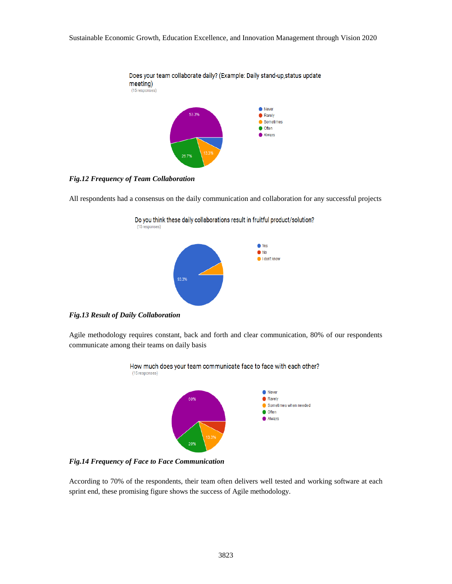

*Fig.12 Frequency of Team Collaboration*

All respondents had a consensus on the daily communication and collaboration for any successful projects



Do you think these daily collaborations result in fruitful product/solution? (15 responses)

*Fig.13 Result of Daily Collaboration*

Agile methodology requires constant, back and forth and clear communication, 80% of our respondents communicate among their teams on daily basis



*Fig.14 Frequency of Face to Face Communication*

According to 70% of the respondents, their team often delivers well tested and working software at each sprint end, these promising figure shows the success of Agile methodology.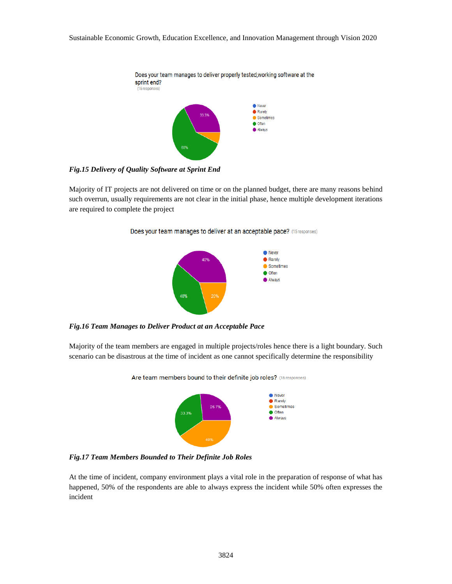Sustainable Economic Growth, Education Excellence, and Innovation Management through Vision 2020



*Fig.15 Delivery of Quality Software at Sprint End*

Majority of IT projects are not delivered on time or on the planned budget, there are many reasons behind such overrun, usually requirements are not clear in the initial phase, hence multiple development iterations are required to complete the project





*Fig.16 Team Manages to Deliver Product at an Acceptable Pace*

Majority of the team members are engaged in multiple projects/roles hence there is a light boundary. Such scenario can be disastrous at the time of incident as one cannot specifically determine the responsibility



*Fig.17 Team Members Bounded to Their Definite Job Roles*

At the time of incident, company environment plays a vital role in the preparation of response of what has happened, 50% of the respondents are able to always express the incident while 50% often expresses the incident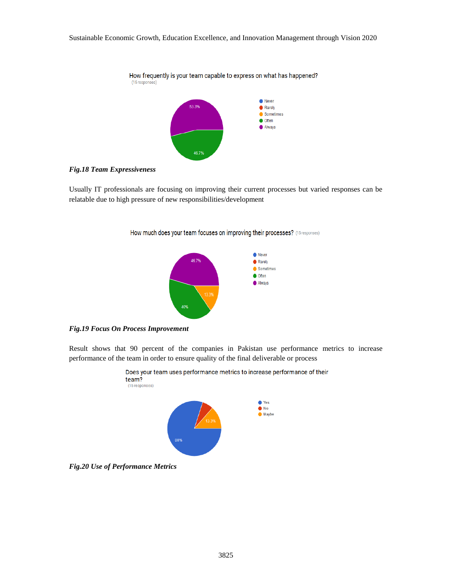

## *Fig.18 Team Expressiveness*

Usually IT professionals are focusing on improving their current processes but varied responses can be relatable due to high pressure of new responsibilities/development

### How much does your team focuses on improving their processes? (15 responses)



#### *Fig.19 Focus On Process Improvement*

Result shows that 90 percent of the companies in Pakistan use performance metrics to increase performance of the team in order to ensure quality of the final deliverable or process



*Fig.20 Use of Performance Metrics*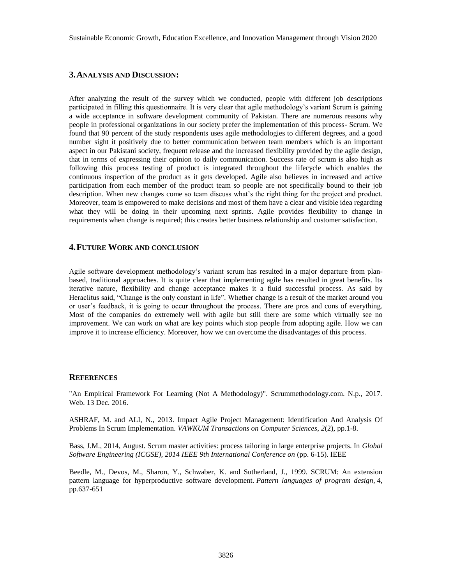### **3.ANALYSIS AND DISCUSSION:**

After analyzing the result of the survey which we conducted, people with different job descriptions participated in filling this questionnaire. It is very clear that agile methodology's variant Scrum is gaining a wide acceptance in software development community of Pakistan. There are numerous reasons why people in professional organizations in our society prefer the implementation of this process- Scrum. We found that 90 percent of the study respondents uses agile methodologies to different degrees, and a good number sight it positively due to better communication between team members which is an important aspect in our Pakistani society, frequent release and the increased flexibility provided by the agile design, that in terms of expressing their opinion to daily communication. Success rate of scrum is also high as following this process testing of product is integrated throughout the lifecycle which enables the continuous inspection of the product as it gets developed. Agile also believes in increased and active participation from each member of the product team so people are not specifically bound to their job description. When new changes come so team discuss what's the right thing for the project and product. Moreover, team is empowered to make decisions and most of them have a clear and visible idea regarding what they will be doing in their upcoming next sprints. Agile provides flexibility to change in requirements when change is required; this creates better business relationship and customer satisfaction.

## **4.FUTURE WORK AND CONCLUSION**

Agile software development methodology's variant scrum has resulted in a major departure from planbased, traditional approaches. It is quite clear that implementing agile has resulted in great benefits. Its iterative nature, flexibility and change acceptance makes it a fluid successful process. As said by Heraclitus said, "Change is the only constant in life". Whether change is a result of the market around you or user's feedback, it is going to occur throughout the process. There are pros and cons of everything. Most of the companies do extremely well with agile but still there are some which virtually see no improvement. We can work on what are key points which stop people from adopting agile. How we can improve it to increase efficiency. Moreover, how we can overcome the disadvantages of this process.

#### **REFERENCES**

"An Empirical Framework For Learning (Not A Methodology)". Scrummethodology.com. N.p., 2017. Web. 13 Dec. 2016.

ASHRAF, M. and ALI, N., 2013. Impact Agile Project Management: Identification And Analysis Of Problems In Scrum Implementation. *VAWKUM Transactions on Computer Sciences*, *2*(2), pp.1-8.

Bass, J.M., 2014, August. Scrum master activities: process tailoring in large enterprise projects. In *Global Software Engineering (ICGSE), 2014 IEEE 9th International Conference on* (pp. 6-15). IEEE

Beedle, M., Devos, M., Sharon, Y., Schwaber, K. and Sutherland, J., 1999. SCRUM: An extension pattern language for hyperproductive software development. *Pattern languages of program design*, *4*, pp.637-651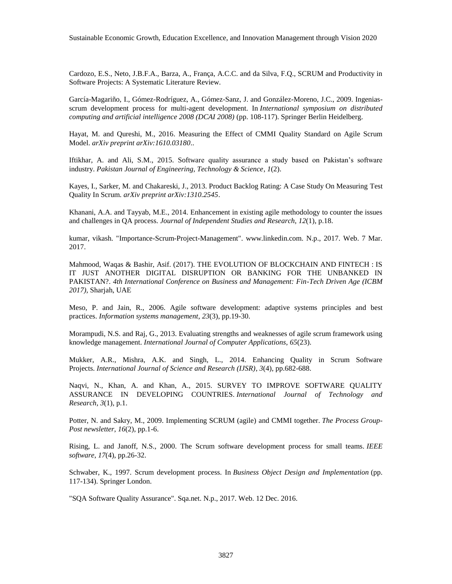Cardozo, E.S., Neto, J.B.F.A., Barza, A., França, A.C.C. and da Silva, F.Q., SCRUM and Productivity in Software Projects: A Systematic Literature Review.

García-Magariño, I., Gómez-Rodríguez, A., Gómez-Sanz, J. and González-Moreno, J.C., 2009. Ingeniasscrum development process for multi-agent development. In *International symposium on distributed computing and artificial intelligence 2008 (DCAI 2008)* (pp. 108-117). Springer Berlin Heidelberg.

Hayat, M. and Qureshi, M., 2016. Measuring the Effect of CMMI Quality Standard on Agile Scrum Model. *arXiv preprint arXiv:1610.03180*..

Iftikhar, A. and Ali, S.M., 2015. Software quality assurance a study based on Pakistan's software industry. *Pakistan Journal of Engineering, Technology & Science*, *1*(2).

Kayes, I., Sarker, M. and Chakareski, J., 2013. Product Backlog Rating: A Case Study On Measuring Test Quality In Scrum. *arXiv preprint arXiv:1310.2545*.

Khanani, A.A. and Tayyab, M.E., 2014. Enhancement in existing agile methodology to counter the issues and challenges in QA process. *Journal of Independent Studies and Research*, *12*(1), p.18.

kumar, vikash. "Importance-Scrum-Project-Management". www.linkedin.com. N.p., 2017. Web. 7 Mar. 2017.

Mahmood, Waqas & Bashir, Asif. (2017). THE EVOLUTION OF BLOCKCHAIN AND FINTECH : IS IT JUST ANOTHER DIGITAL DISRUPTION OR BANKING FOR THE UNBANKED IN PAKISTAN?. *4th International Conference on Business and Management: Fin-Tech Driven Age (ICBM 2017),* Sharjah, UAE

Meso, P. and Jain, R., 2006. Agile software development: adaptive systems principles and best practices. *Information systems management*, *23*(3), pp.19-30.

Morampudi, N.S. and Raj, G., 2013. Evaluating strengths and weaknesses of agile scrum framework using knowledge management. *International Journal of Computer Applications*, *65*(23).

Mukker, A.R., Mishra, A.K. and Singh, L., 2014. Enhancing Quality in Scrum Software Projects. *International Journal of Science and Research (IJSR)*, *3*(4), pp.682-688.

Naqvi, N., Khan, A. and Khan, A., 2015. SURVEY TO IMPROVE SOFTWARE QUALITY ASSURANCE IN DEVELOPING COUNTRIES. *International Journal of Technology and Research*, *3*(1), p.1.

Potter, N. and Sakry, M., 2009. Implementing SCRUM (agile) and CMMI together. *The Process Group-Post newsletter*, *16*(2), pp.1-6.

Rising, L. and Janoff, N.S., 2000. The Scrum software development process for small teams. *IEEE software*, *17*(4), pp.26-32.

Schwaber, K., 1997. Scrum development process. In *Business Object Design and Implementation* (pp. 117-134). Springer London.

"SQA Software Quality Assurance". Sqa.net. N.p., 2017. Web. 12 Dec. 2016.